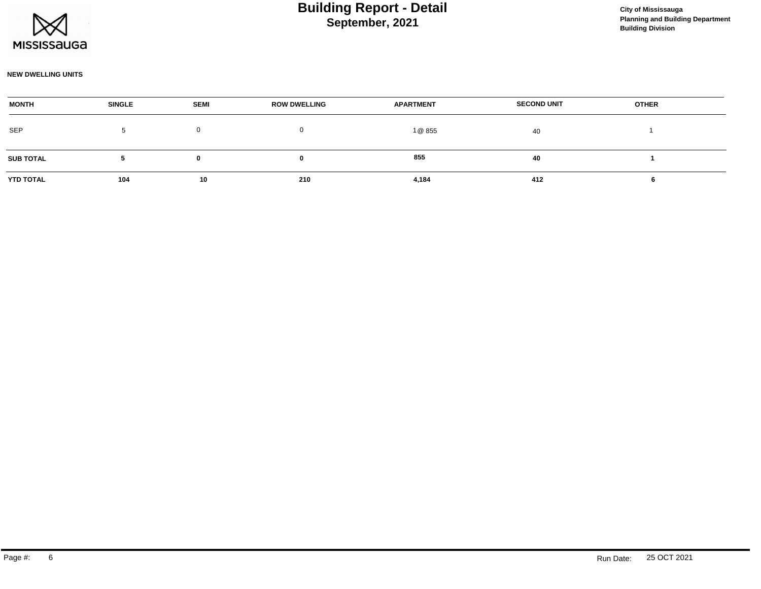

### **September, 2021 Building Report - Detail Construction Construction City of Mississauga**

#### **NEW DWELLING UNITS**

| <b>MONTH</b>     | <b>SINGLE</b> | <b>SEMI</b> | <b>ROW DWELLING</b> | <b>APARTMENT</b> | <b>SECOND UNIT</b> | <b>OTHER</b> |  |
|------------------|---------------|-------------|---------------------|------------------|--------------------|--------------|--|
| <b>SEP</b>       |               |             |                     | 1 @ 855          | 40                 |              |  |
| <b>SUB TOTAL</b> |               |             |                     | 855              | 40                 |              |  |
| <b>YTD TOTAL</b> | 104           | 10          | 210                 | 4,184            | 412                |              |  |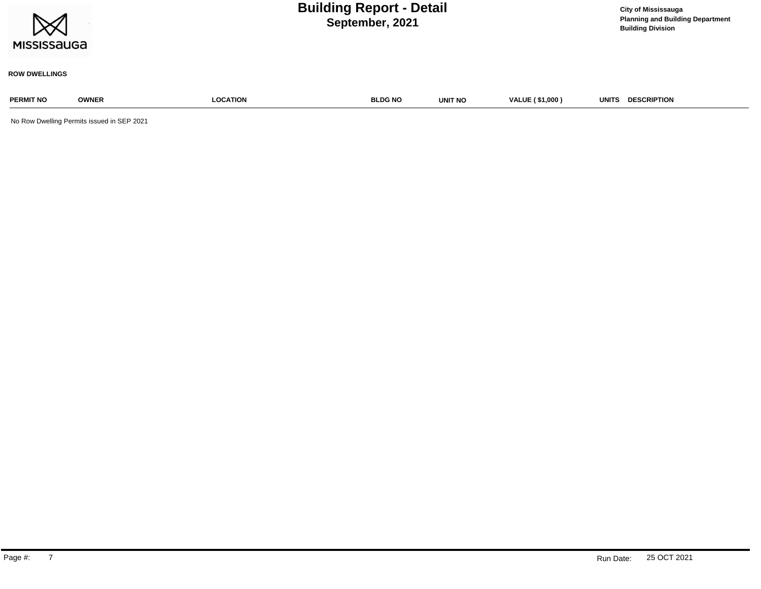

**Planning and Building Department Building Division**

#### **ROW DWELLINGS**

# **PERMIT NO OWNER LOCATION BLDG NO UNIT NO VALUE ( \$1,000 ) UNITS DESCRIPTION**

No Row Dwelling Permits issued in SEP 2021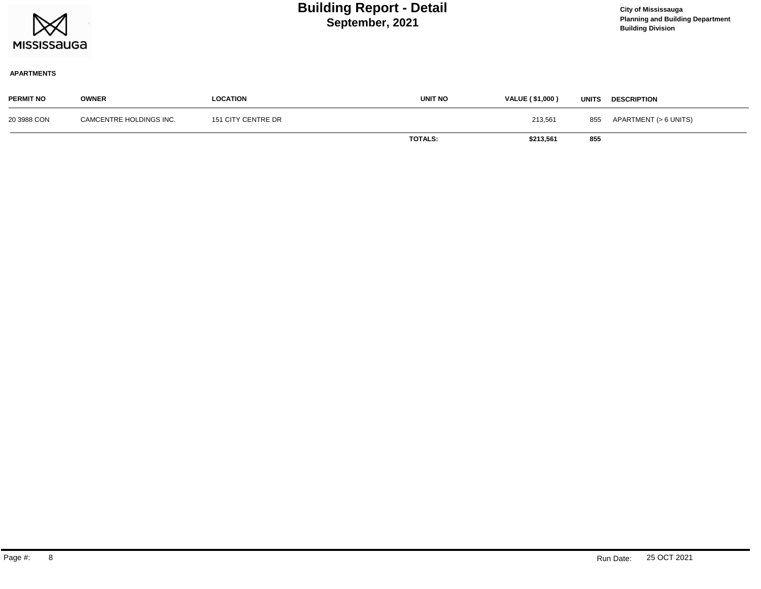

### **September, 2021 Building Report - Detail Construction Construction City of Mississauga**

**Planning and Building Department Building Division**

#### **APARTMENTS**

| <b>PERMIT NO</b> | <b>OWNER</b>            | LOCATION           | <b>UNIT NO</b> | VALUE (\$1,000) | <b>UNITS</b> | <b>DESCRIPTION</b>        |
|------------------|-------------------------|--------------------|----------------|-----------------|--------------|---------------------------|
| 20 3988 CON      | CAMCENTRE HOLDINGS INC. | 151 CITY CENTRE DR |                | 213,561         |              | 855 APARTMENT (> 6 UNITS) |
|                  |                         |                    | <b>TOTALS:</b> | \$213,561       | 855          |                           |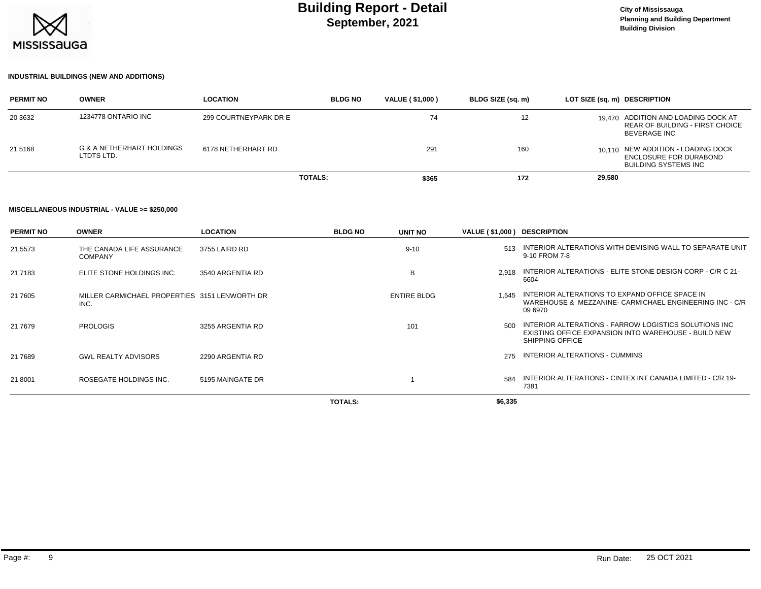

#### **INDUSTRIAL BUILDINGS (NEW AND ADDITIONS)**

| <b>PERMIT NO</b> | <b>OWNER</b>                            | <b>LOCATION</b>       | <b>BLDG NO</b> | <b>VALUE (\$1,000)</b> | BLDG SIZE (sq. m) | LOT SIZE (sq. m) DESCRIPTION                                                                  |
|------------------|-----------------------------------------|-----------------------|----------------|------------------------|-------------------|-----------------------------------------------------------------------------------------------|
| 20 3632          | 1234778 ONTARIO INC                     | 299 COURTNEYPARK DR E |                | 74                     | 12                | 19.470 ADDITION AND LOADING DOCK AT<br>REAR OF BUILDING - FIRST CHOICE<br><b>BEVERAGE INC</b> |
| 21 51 68         | G & A NETHERHART HOLDINGS<br>LTDTS LTD. | 6178 NETHERHART RD    |                | 291                    | 160               | 10.110 NEW ADDITION - LOADING DOCK<br>ENCLOSURE FOR DURABOND<br><b>BUILDING SYSTEMS INC</b>   |
|                  |                                         | <b>TOTALS:</b>        |                | \$365                  | 172               | 29,580                                                                                        |

#### **MISCELLANEOUS INDUSTRIAL - VALUE >= \$250,000**

| <b>PERMIT NO</b> | <b>OWNER</b>                                          | <b>LOCATION</b>  | <b>BLDG NO</b> | UNIT NO            | VALUE (\$1,000) DESCRIPTION |                                                                                                                                         |
|------------------|-------------------------------------------------------|------------------|----------------|--------------------|-----------------------------|-----------------------------------------------------------------------------------------------------------------------------------------|
| 21 5573          | THE CANADA LIFE ASSURANCE<br><b>COMPANY</b>           | 3755 LAIRD RD    |                | $9 - 10$           | 513                         | INTERIOR ALTERATIONS WITH DEMISING WALL TO SEPARATE UNIT<br>9-10 FROM 7-8                                                               |
| 21 7183          | ELITE STONE HOLDINGS INC.                             | 3540 ARGENTIA RD |                | B                  | 2.918                       | INTERIOR ALTERATIONS - ELITE STONE DESIGN CORP - C/R C 21-<br>6604                                                                      |
| 21 7605          | MILLER CARMICHAEL PROPERTIES 3151 LENWORTH DR<br>INC. |                  |                | <b>ENTIRE BLDG</b> | 1.545                       | INTERIOR ALTERATIONS TO EXPAND OFFICE SPACE IN<br>WAREHOUSE & MEZZANINE- CARMICHAEL ENGINEERING INC - C/R<br>09 6970                    |
| 21 7679          | PROLOGIS                                              | 3255 ARGENTIA RD |                | 101                | 500                         | INTERIOR ALTERATIONS - FARROW LOGISTICS SOLUTIONS INC<br>EXISTING OFFICE EXPANSION INTO WAREHOUSE - BUILD NEW<br><b>SHIPPING OFFICE</b> |
| 21 7689          | <b>GWL REALTY ADVISORS</b>                            | 2290 ARGENTIA RD |                |                    | 275                         | INTERIOR ALTERATIONS - CUMMINS                                                                                                          |
| 21 8001          | ROSEGATE HOLDINGS INC.                                | 5195 MAINGATE DR |                |                    | 584                         | INTERIOR ALTERATIONS - CINTEX INT CANADA LIMITED - C/R 19-<br>7381                                                                      |
|                  |                                                       |                  | <b>TOTALS:</b> |                    | \$6,335                     |                                                                                                                                         |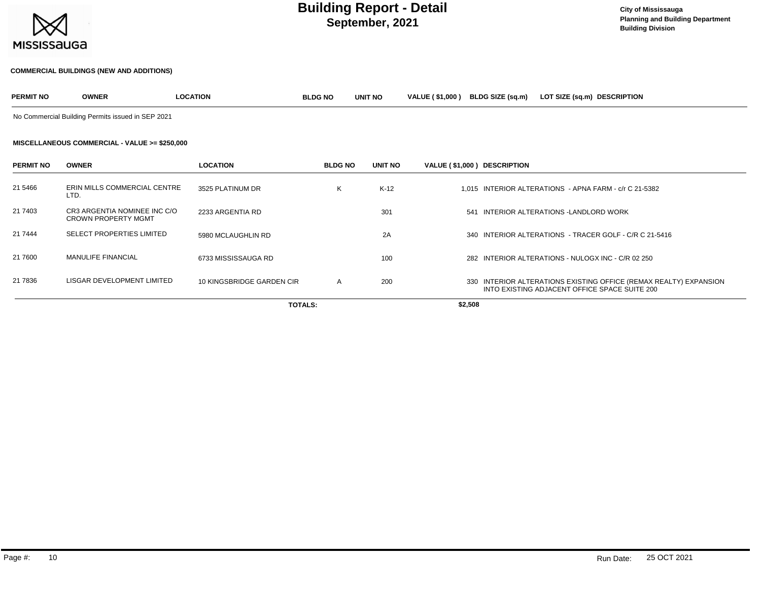

#### **COMMERCIAL BUILDINGS (NEW AND ADDITIONS)**

| <b>PERMIT NO</b> | <b>OWNER</b> | <b>LOCATION</b> | <b>BLDG NO</b> | <b>UNIT NO</b> | <b>VALUE (\$1.000)</b> | <b>BLDG SIZE (sa.m)</b> | LOT SIZE (sq.m) | <b>DESCRIPTION</b> |
|------------------|--------------|-----------------|----------------|----------------|------------------------|-------------------------|-----------------|--------------------|
|                  |              |                 |                |                |                        |                         |                 |                    |

No Commercial Building Permits issued in SEP 2021

#### **MISCELLANEOUS COMMERCIAL - VALUE >= \$250,000**

| <b>PERMIT NO</b> | <b>OWNER</b>                                               | <b>LOCATION</b>           | <b>BLDG NO</b> | UNIT NO | VALUE (\$1,000) DESCRIPTION |                                                                                                                    |
|------------------|------------------------------------------------------------|---------------------------|----------------|---------|-----------------------------|--------------------------------------------------------------------------------------------------------------------|
| 21 5466          | ERIN MILLS COMMERCIAL CENTRE<br>LTD.                       | 3525 PLATINUM DR          | K              | $K-12$  |                             | 1.015 INTERIOR ALTERATIONS - APNA FARM - c/r C 21-5382                                                             |
| 21 7403          | CR3 ARGENTIA NOMINEE INC C/O<br><b>CROWN PROPERTY MGMT</b> | 2233 ARGENTIA RD          |                | 301     |                             | 541 INTERIOR ALTERATIONS - LANDLORD WORK                                                                           |
| 21 7444          | <b>SELECT PROPERTIES LIMITED</b>                           | 5980 MCLAUGHLIN RD        |                | 2A      |                             | 340 INTERIOR ALTERATIONS - TRACER GOLF - C/R C 21-5416                                                             |
| 21 7600          | <b>MANULIFE FINANCIAL</b>                                  | 6733 MISSISSAUGA RD       |                | 100     |                             | 282 INTERIOR ALTERATIONS - NULOGX INC - C/R 02 250                                                                 |
| 21 7836          | LISGAR DEVELOPMENT LIMITED                                 | 10 KINGSBRIDGE GARDEN CIR | $\mathsf{A}$   | 200     |                             | 330 INTERIOR ALTERATIONS EXISTING OFFICE (REMAX REALTY) EXPANSION<br>INTO EXISTING ADJACENT OFFICE SPACE SUITE 200 |
|                  |                                                            | <b>TOTALS:</b>            |                |         | \$2,508                     |                                                                                                                    |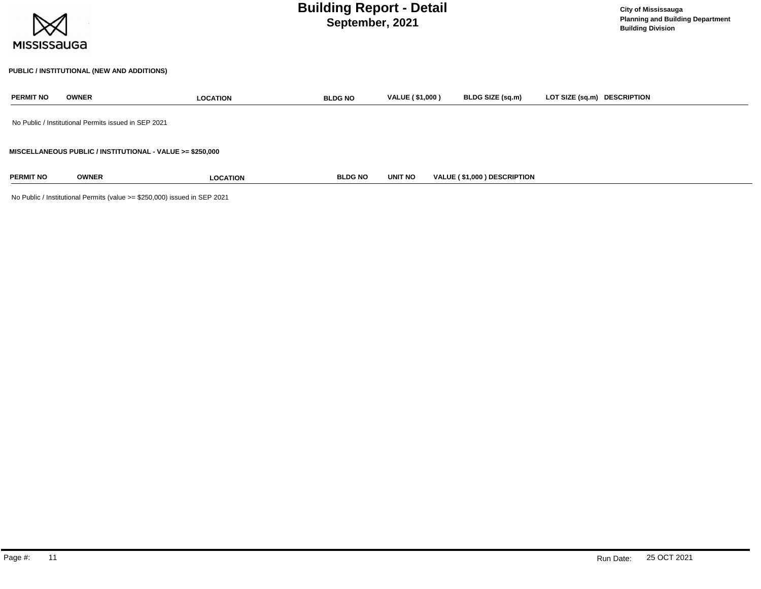| <b>MISSISSAUGA</b> |              | <b>Building Report - Detail</b>                           | <b>City of Mississauga</b><br><b>Planning and Building Department</b><br><b>Building Division</b> |                        |                             |                             |  |
|--------------------|--------------|-----------------------------------------------------------|---------------------------------------------------------------------------------------------------|------------------------|-----------------------------|-----------------------------|--|
|                    |              | PUBLIC / INSTITUTIONAL (NEW AND ADDITIONS)                |                                                                                                   |                        |                             |                             |  |
| <b>PERMIT NO</b>   | <b>OWNER</b> | <b>LOCATION</b>                                           | <b>BLDG NO</b>                                                                                    | <b>VALUE (\$1,000)</b> | <b>BLDG SIZE (sq.m)</b>     | LOT SIZE (sq.m) DESCRIPTION |  |
|                    |              | No Public / Institutional Permits issued in SEP 2021      |                                                                                                   |                        |                             |                             |  |
|                    |              | MISCELLANEOUS PUBLIC / INSTITUTIONAL - VALUE >= \$250,000 |                                                                                                   |                        |                             |                             |  |
| <b>PERMIT NO</b>   | <b>OWNER</b> | <b>LOCATION</b>                                           | <b>BLDG NO</b>                                                                                    | <b>UNIT NO</b>         | VALUE (\$1,000) DESCRIPTION |                             |  |

No Public / Institutional Permits (value >= \$250,000) issued in SEP 2021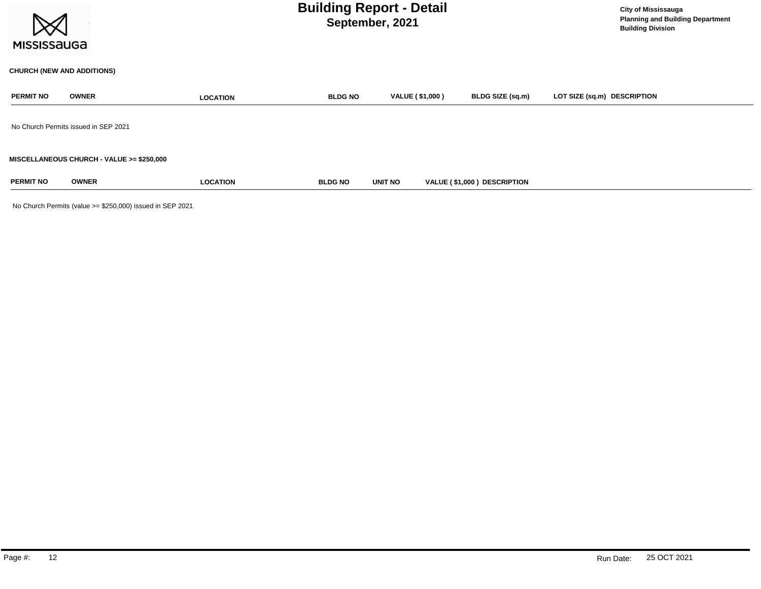| <b>MISSISSAUGA</b> | <b>City of Mississauga</b><br><b>Planning and Building Department</b><br><b>Building Division</b> |                 |                |                        |                             |                             |
|--------------------|---------------------------------------------------------------------------------------------------|-----------------|----------------|------------------------|-----------------------------|-----------------------------|
|                    | <b>CHURCH (NEW AND ADDITIONS)</b>                                                                 |                 |                |                        |                             |                             |
| <b>PERMIT NO</b>   | <b>OWNER</b>                                                                                      | <b>LOCATION</b> | <b>BLDG NO</b> | <b>VALUE (\$1,000)</b> | BLDG SIZE (sq.m)            | LOT SIZE (sq.m) DESCRIPTION |
|                    | No Church Permits issued in SEP 2021                                                              |                 |                |                        |                             |                             |
|                    | <b>MISCELLANEOUS CHURCH - VALUE &gt;= \$250,000</b>                                               |                 |                |                        |                             |                             |
| <b>PERMIT NO</b>   | <b>OWNER</b>                                                                                      | <b>LOCATION</b> | <b>BLDG NO</b> | UNIT NO                | VALUE (\$1,000) DESCRIPTION |                             |

No Church Permits (value >= \$250,000) issued in SEP 2021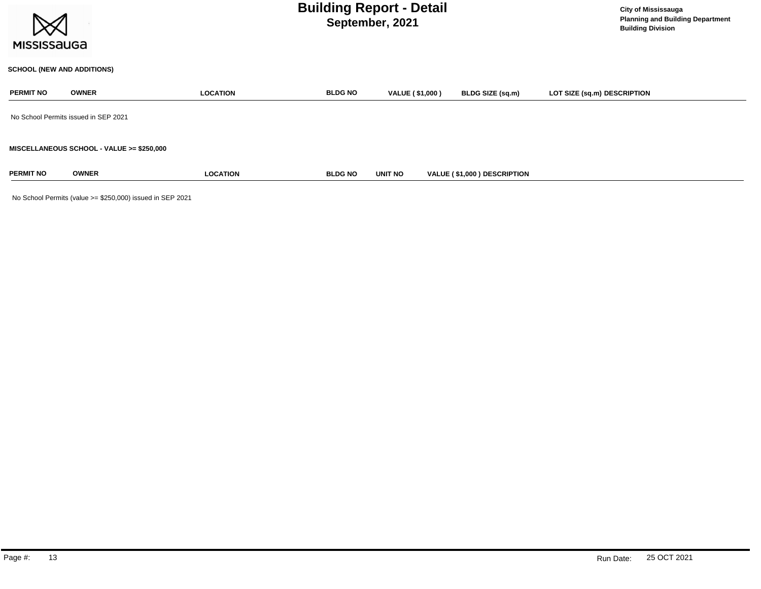

#### **SCHOOL (NEW AND ADDITIONS)**

| <b>PERMIT NO</b>                          | <b>OWNER</b> | <b>LOCATION</b> | <b>BLDG NO</b> | <b>VALUE (\$1,000)</b> | BLDG SIZE (sq.m)                   | LOT SIZE (sq.m) DESCRIPTION |  |  |  |
|-------------------------------------------|--------------|-----------------|----------------|------------------------|------------------------------------|-----------------------------|--|--|--|
| No School Permits issued in SEP 2021      |              |                 |                |                        |                                    |                             |  |  |  |
| MISCELLANEOUS SCHOOL - VALUE >= \$250,000 |              |                 |                |                        |                                    |                             |  |  |  |
| <b>PERMIT NO</b>                          | <b>OWNER</b> | <b>LOCATION</b> | <b>BLDG NO</b> | <b>UNIT NO</b>         | <b>VALUE (\$1,000) DESCRIPTION</b> |                             |  |  |  |

No School Permits (value >= \$250,000) issued in SEP 2021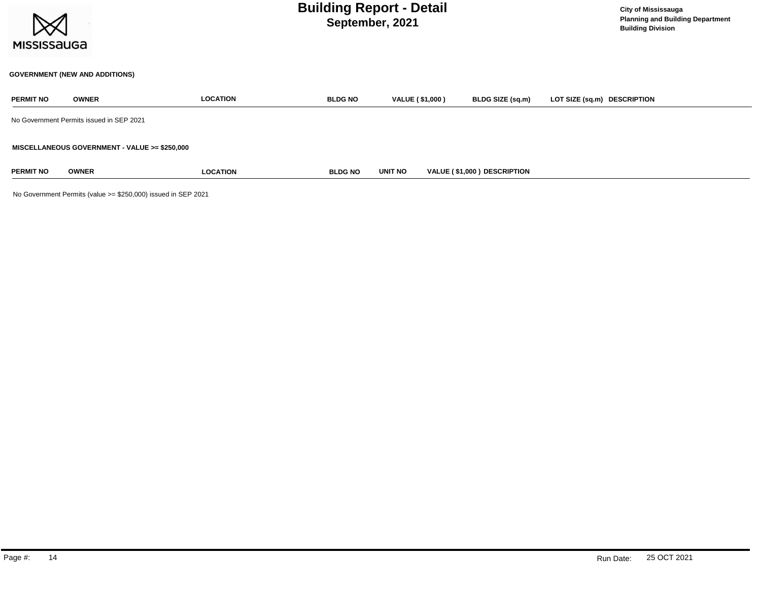

#### **GOVERNMENT (NEW AND ADDITIONS)**

| <b>PERMIT NO</b> | <b>OWNER</b>                                  | <b>LOCATION</b> | <b>BLDG NO</b> | VALUE (\$1,000) | BLDG SIZE (sq.m)            | LOT SIZE (sq.m) DESCRIPTION |
|------------------|-----------------------------------------------|-----------------|----------------|-----------------|-----------------------------|-----------------------------|
|                  | No Government Permits issued in SEP 2021      |                 |                |                 |                             |                             |
|                  | MISCELLANEOUS GOVERNMENT - VALUE >= \$250,000 |                 |                |                 |                             |                             |
| <b>PERMIT NO</b> | <b>OWNER</b>                                  | <b>LOCATION</b> | <b>BLDG NO</b> | <b>UNIT NO</b>  | VALUE (\$1,000) DESCRIPTION |                             |

No Government Permits (value >= \$250,000) issued in SEP 2021